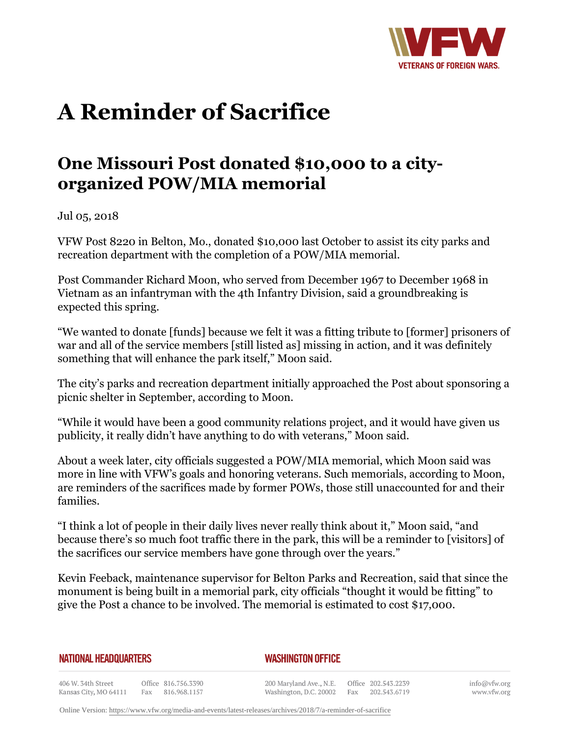

## **A Reminder of Sacrifice**

## **One Missouri Post donated \$10,000 to a cityorganized POW/MIA memorial**

Jul 05, 2018

VFW Post 8220 in Belton, Mo., donated \$10,000 last October to assist its city parks and recreation department with the completion of a POW/MIA memorial.

Post Commander Richard Moon, who served from December 1967 to December 1968 in Vietnam as an infantryman with the 4th Infantry Division, said a groundbreaking is expected this spring.

"We wanted to donate [funds] because we felt it was a fitting tribute to [former] prisoners of war and all of the service members [still listed as] missing in action, and it was definitely something that will enhance the park itself," Moon said.

The city's parks and recreation department initially approached the Post about sponsoring a picnic shelter in September, according to Moon.

"While it would have been a good community relations project, and it would have given us publicity, it really didn't have anything to do with veterans," Moon said.

About a week later, city officials suggested a POW/MIA memorial, which Moon said was more in line with VFW's goals and honoring veterans. Such memorials, according to Moon, are reminders of the sacrifices made by former POWs, those still unaccounted for and their families.

"I think a lot of people in their daily lives never really think about it," Moon said, "and because there's so much foot traffic there in the park, this will be a reminder to [visitors] of the sacrifices our service members have gone through over the years."

Kevin Feeback, maintenance supervisor for Belton Parks and Recreation, said that since the monument is being built in a memorial park, city officials "thought it would be fitting" to give the Post a chance to be involved. The memorial is estimated to cost \$17,000.

**NATIONAL HEADQUARTERS** 

*WASHINGTON OFFICE* 

406 W. 34th Street Office 816.756.3390 Fax 816.968.1157 Kansas City, MO 64111

200 Maryland Ave., N.E. Washington, D.C. 20002

Office 202.543.2239 Fax 202.543.6719 info@vfw.org www.vfw.org

Online Version:<https://www.vfw.org/media-and-events/latest-releases/archives/2018/7/a-reminder-of-sacrifice>